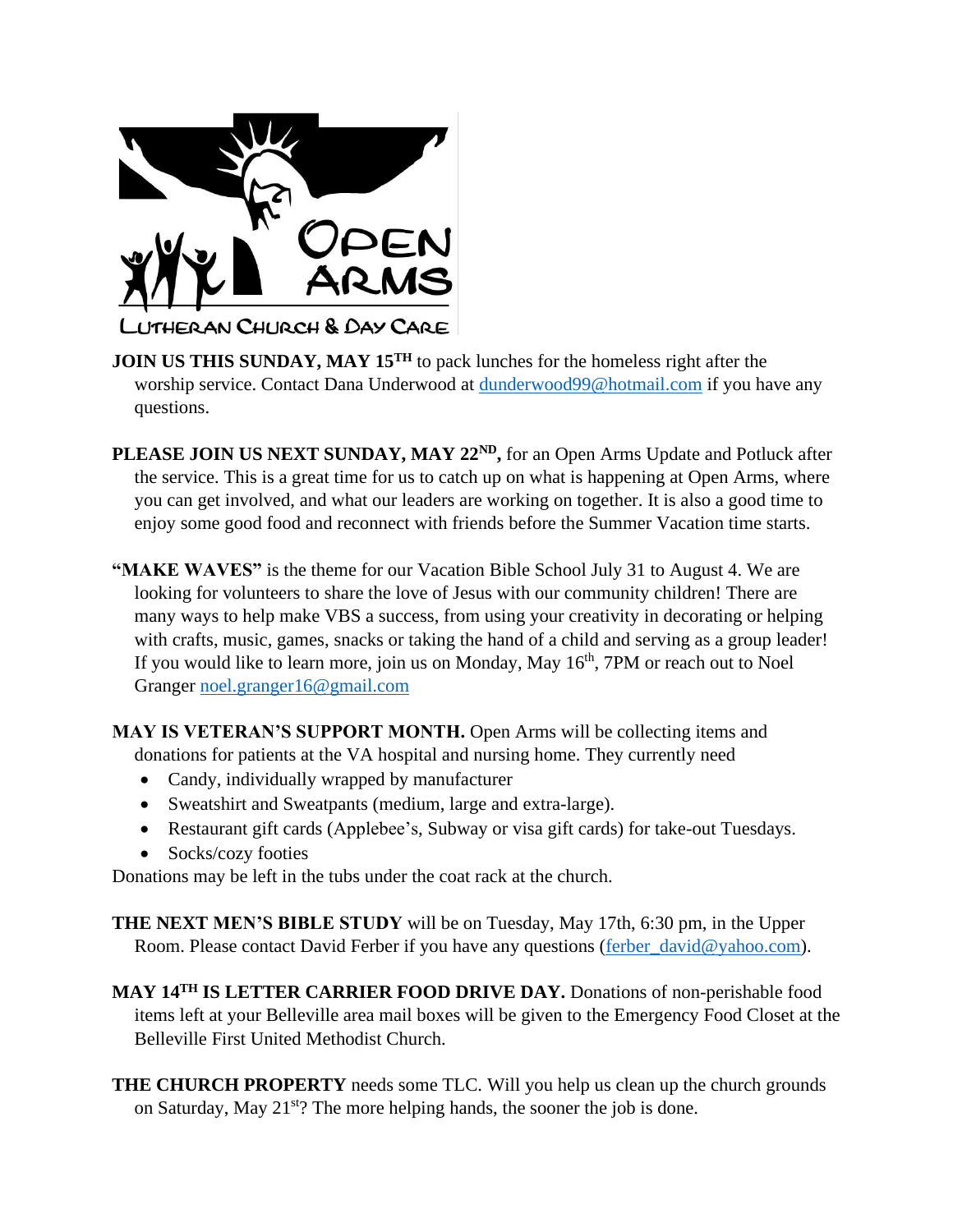

- **JOIN US THIS SUNDAY, MAY 15<sup>TH</sup>** to pack lunches for the homeless right after the worship service. Contact Dana Underwood at [dunderwood99@hotmail.com](mailto:dunderwood99@hotmail.com) if you have any questions.
- **PLEASE JOIN US NEXT SUNDAY, MAY 22ND,** for an Open Arms Update and Potluck after the service. This is a great time for us to catch up on what is happening at Open Arms, where you can get involved, and what our leaders are working on together. It is also a good time to enjoy some good food and reconnect with friends before the Summer Vacation time starts.
- **"MAKE WAVES"** is the theme for our Vacation Bible School July 31 to August 4. We are looking for volunteers to share the love of Jesus with our community children! There are many ways to help make VBS a success, from using your creativity in decorating or helping with crafts, music, games, snacks or taking the hand of a child and serving as a group leader! If you would like to learn more, join us on Monday, May  $16<sup>th</sup>$ , 7PM or reach out to Noel Granger [noel.granger16@gmail.com](mailto:noel.granger16@gmail.com)

**MAY IS VETERAN'S SUPPORT MONTH.** Open Arms will be collecting items and donations for patients at the VA hospital and nursing home. They currently need

- Candy, individually wrapped by manufacturer
- Sweatshirt and Sweatpants (medium, large and extra-large).
- Restaurant gift cards (Applebee's, Subway or visa gift cards) for take-out Tuesdays.
- Socks/cozy footies

Donations may be left in the tubs under the coat rack at the church.

**THE NEXT MEN'S BIBLE STUDY** will be on Tuesday, May 17th, 6:30 pm, in the Upper Room. Please contact David Ferber if you have any questions [\(ferber\\_david@yahoo.com\)](mailto:ferber_david@yahoo.com).

**MAY 14TH IS LETTER CARRIER FOOD DRIVE DAY.** Donations of non-perishable food items left at your Belleville area mail boxes will be given to the Emergency Food Closet at the Belleville First United Methodist Church.

**THE CHURCH PROPERTY** needs some TLC. Will you help us clean up the church grounds on Saturday, May  $21^{st}$ ? The more helping hands, the sooner the job is done.